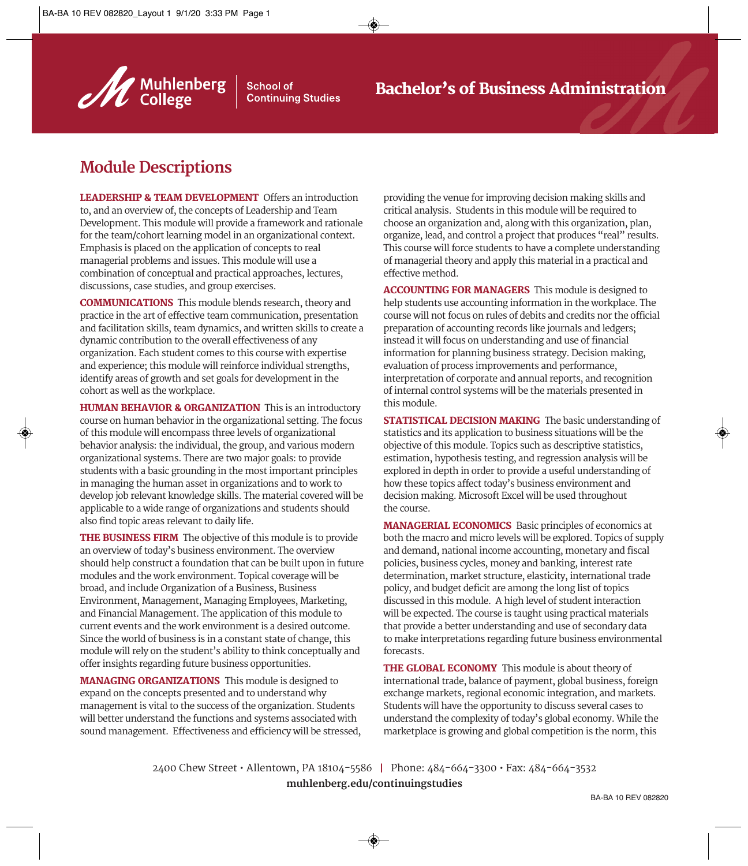

**School of Continuing Studies** 

## **Module Descriptions**

LEADERSHIP & TEAM DEVELOPMENT Offers an introduction to, and an overview of, the concepts of Leadership and Team Development. This module will provide a framework and rationale for the team/cohort learning model in an organizational context. Emphasis is placed on the application of concepts to real managerial problems and issues. This module will use a combination of conceptual and practical approaches, lectures, discussions, case studies, and group exercises.

COMMUNICATIONS This module blends research, theory and practice in the art of effective team communication, presentation and facilitation skills, team dynamics, and written skills to create a dynamic contribution to the overall effectiveness of any organization. Each student comes to this course with expertise and experience; this module will reinforce individual strengths, identify areas of growth and set goals for development in the cohort as well as the workplace.

HUMAN BEHAVIOR & ORGANIZATION This is an introductory course on human behavior in the organizational setting. The focus of this module will encompass three levels of organizational behavior analysis: the individual, the group, and various modern organizational systems. There are two major goals: to provide students with a basic grounding in the most important principles in managing the human asset in organizations and to work to develop job relevant knowledge skills. The material covered will be applicable to a wide range of organizations and students should also find topic areas relevant to daily life.

THE BUSINESS FIRM The objective of this module is to provide an overview of today's business environment. The overview should help construct a foundation that can be built upon in future modules and the work environment. Topical coverage will be broad, and include Organization of a Business, Business Environment, Management, Managing Employees, Marketing, and Financial Management. The application of this module to current events and the work environment is a desired outcome. Since the world of business is in a constant state of change, this module will rely on the student's ability to think conceptually and offer insights regarding future business opportunities.

MANAGING ORGANIZATIONS This module is designed to expand on the concepts presented and to understand why management is vital to the success of the organization. Students will better understand the functions and systems associated with sound management. Effectiveness and efficiency will be stressed, providing the venue for improving decision making skills and critical analysis. Students in this module will be required to choose an organization and, along with this organization, plan, organize, lead, and control a project that produces "real" results. This course will force students to have a complete understanding of managerial theory and apply this material in a practical and effective method.

ACCOUNTING FOR MANAGERS This module is designed to help students use accounting information in the workplace. The course will not focus on rules of debits and credits nor the official preparation of accounting records like journals and ledgers; instead it will focus on understanding and use of financial information for planning business strategy. Decision making, evaluation of process improvements and performance, interpretation of corporate and annual reports, and recognition of internal control systems will be the materials presented in this module.

STATISTICAL DECISION MAKING The basic understanding of statistics and its application to business situations will be the objective of this module. Topics such as descriptive statistics, estimation, hypothesis testing, and regression analysis will be explored in depth in order to provide a useful understanding of how these topics affect today's business environment and decision making. Microsoft Excel will be used throughout the course.

MANAGERIAL ECONOMICS Basic principles of economics at both the macro and micro levels will be explored. Topics of supply and demand, national income accounting, monetary and fiscal policies, business cycles, money and banking, interest rate determination, market structure, elasticity, international trade policy, and budget deficit are among the long list of topics discussed in this module. A high level of student interaction will be expected. The course is taught using practical materials that provide a better understanding and use of secondary data to make interpretations regarding future business environmental forecasts.

THE GLOBAL ECONOMY This module is about theory of international trade, balance of payment, global business, foreign exchange markets, regional economic integration, and markets. Students will have the opportunity to discuss several cases to understand the complexity of today's global economy. While the marketplace is growing and global competition is the norm, this

2400 Chew Street • Allentown, PA 18104-5586 I Phone: 484-664-3300 • Fax: 484-664-3532 **muhlenberg.edu/continuingstudies**